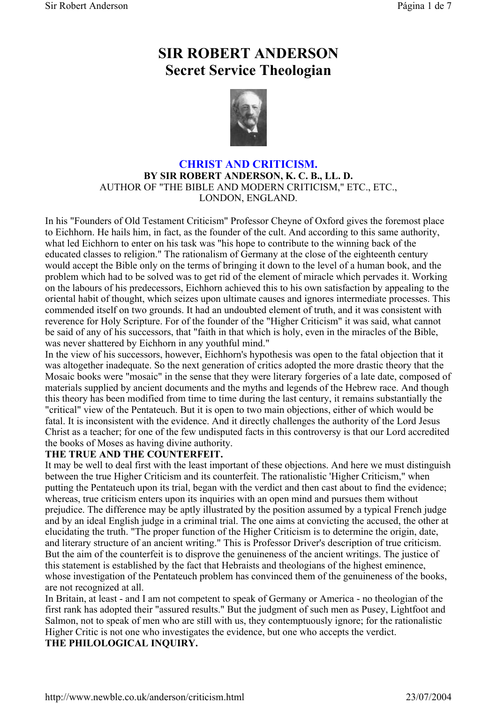# **SIR ROBERT ANDERSON Secret Service Theologian**



# **CHRIST AND CRITICISM. BY SIR ROBERT ANDERSON, K. C. B., LL. D.** AUTHOR OF "THE BIBLE AND MODERN CRITICISM," ETC., ETC., LONDON, ENGLAND.

In his "Founders of Old Testament Criticism" Professor Cheyne of Oxford gives the foremost place to Eichhorn. He hails him, in fact, as the founder of the cult. And according to this same authority, what led Eichhorn to enter on his task was "his hope to contribute to the winning back of the educated classes to religion." The rationalism of Germany at the close of the eighteenth century would accept the Bible only on the terms of bringing it down to the level of a human book, and the problem which had to be solved was to get rid of the element of miracle which pervades it. Working on the labours of his predecessors, Eichhorn achieved this to his own satisfaction by appealing to the oriental habit of thought, which seizes upon ultimate causes and ignores intermediate processes. This commended itself on two grounds. It had an undoubted element of truth, and it was consistent with reverence for Holy Scripture. For of the founder of the "Higher Criticism" it was said, what cannot be said of any of his successors, that "faith in that which is holy, even in the miracles of the Bible, was never shattered by Eichhorn in any youthful mind."

In the view of his successors, however, Eichhorn's hypothesis was open to the fatal objection that it was altogether inadequate. So the next generation of critics adopted the more drastic theory that the Mosaic books were "mosaic" in the sense that they were literary forgeries of a late date, composed of materials supplied by ancient documents and the myths and legends of the Hebrew race. And though this theory has been modified from time to time during the last century, it remains substantially the "critical" view of the Pentateuch. But it is open to two main objections, either of which would be fatal. It is inconsistent with the evidence. And it directly challenges the authority of the Lord Jesus Christ as a teacher; for one of the few undisputed facts in this controversy is that our Lord accredited the books of Moses as having divine authority.

# **THE TRUE AND THE COUNTERFEIT.**

It may be well to deal first with the least important of these objections. And here we must distinguish between the true Higher Criticism and its counterfeit. The rationalistic 'Higher Criticism," when putting the Pentateuch upon its trial, began with the verdict and then cast about to find the evidence; whereas, true criticism enters upon its inquiries with an open mind and pursues them without prejudice. The difference may be aptly illustrated by the position assumed by a typical French judge and by an ideal English judge in a criminal trial. The one aims at convicting the accused, the other at elucidating the truth. "The proper function of the Higher Criticism is to determine the origin, date, and literary structure of an ancient writing." This is Professor Driver's description of true criticism. But the aim of the counterfeit is to disprove the genuineness of the ancient writings. The justice of this statement is established by the fact that Hebraists and theologians of the highest eminence, whose investigation of the Pentateuch problem has convinced them of the genuineness of the books, are not recognized at all.

In Britain, at least - and I am not competent to speak of Germany or America - no theologian of the first rank has adopted their "assured results." But the judgment of such men as Pusey, Lightfoot and Salmon, not to speak of men who are still with us, they contemptuously ignore; for the rationalistic Higher Critic is not one who investigates the evidence, but one who accepts the verdict. **THE PHILOLOGICAL INQUIRY.**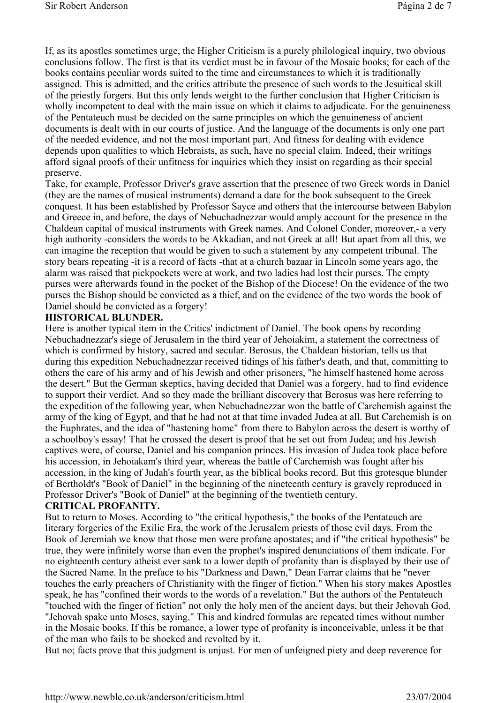If, as its apostles sometimes urge, the Higher Criticism is a purely philological inquiry, two obvious conclusions follow. The first is that its verdict must be in favour of the Mosaic books; for each of the books contains peculiar words suited to the time and circumstances to which it is traditionally assigned. This is admitted, and the critics attribute the presence of such words to the Jesuitical skill of the priestly forgers. But this only lends weight to the further conclusion that Higher Criticism is wholly incompetent to deal with the main issue on which it claims to adjudicate. For the genuineness of the Pentateuch must be decided on the same principles on which the genuineness of ancient documents is dealt with in our courts of justice. And the language of the documents is only one part of the needed evidence, and not the most important part. And fitness for dealing with evidence depends upon qualities to which Hebraists, as such, have no special claim. Indeed, their writings afford signal proofs of their unfitness for inquiries which they insist on regarding as their special preserve.

Take, for example, Professor Driver's grave assertion that the presence of two Greek words in Daniel (they are the names of musical instruments) demand a date for the book subsequent to the Greek conquest. It has been established by Professor Sayce and others that the intercourse between Babylon and Greece in, and before, the days of Nebuchadnezzar would amply account for the presence in the Chaldean capital of musical instruments with Greek names. And Colonel Conder, moreover,- a very high authority -considers the words to be Akkadian, and not Greek at all! But apart from all this, we can imagine the reception that would be given to such a statement by any competent tribunal. The story bears repeating -it is a record of facts -that at a church bazaar in Lincoln some years ago, the alarm was raised that pickpockets were at work, and two ladies had lost their purses. The empty purses were afterwards found in the pocket of the Bishop of the Diocese! On the evidence of the two purses the Bishop should be convicted as a thief, and on the evidence of the two words the book of Daniel should be convicted as a forgery!

#### **HISTORICAL BLUNDER.**

Here is another typical item in the Critics' indictment of Daniel. The book opens by recording Nebuchadnezzar's siege of Jerusalem in the third year of Jehoiakim, a statement the correctness of which is confirmed by history, sacred and secular. Berosus, the Chaldean historian, tells us that during this expedition Nebuchadnezzar received tidings of his father's death, and that, committing to others the care of his army and of his Jewish and other prisoners, "he himself hastened home across the desert." But the German skeptics, having decided that Daniel was a forgery, had to find evidence to support their verdict. And so they made the brilliant discovery that Berosus was here referring to the expedition of the following year, when Nebuchadnezzar won the battle of Carchemish against the army of the king of Egypt, and that he had not at that time invaded Judea at all. But Carchemish is on the Euphrates, and the idea of "hastening home" from there to Babylon across the desert is worthy of a schoolboy's essay! That he crossed the desert is proof that he set out from Judea; and his Jewish captives were, of course, Daniel and his companion princes. His invasion of Judea took place before his accession, in Jehoiakam's third year, whereas the battle of Carchemish was fought after his accession, in the king of Judah's fourth year, as the biblical books record. But this grotesque blunder of Bertholdt's "Book of Daniel" in the beginning of the nineteenth century is gravely reproduced in Professor Driver's "Book of Daniel" at the beginning of the twentieth century.

#### **CRITICAL PROFANITY.**

But to return to Moses. According to "the critical hypothesis," the books of the Pentateuch are literary forgeries of the Exilic Era, the work of the Jerusalem priests of those evil days. From the Book of Jeremiah we know that those men were profane apostates; and if "the critical hypothesis" be true, they were infinitely worse than even the prophet's inspired denunciations of them indicate. For no eighteenth century atheist ever sank to a lower depth of profanity than is displayed by their use of the Sacred Name. In the preface to his "Darkness and Dawn," Dean Farrar claims that he "never touches the early preachers of Christianity with the finger of fiction." When his story makes Apostles speak, he has "confined their words to the words of a revelation." But the authors of the Pentateuch "touched with the finger of fiction" not only the holy men of the ancient days, but their Jehovah God. "Jehovah spake unto Moses, saying." This and kindred formulas are repeated times without number in the Mosaic books. If this be romance, a lower type of profanity is inconceivable, unless it be that of the man who fails to be shocked and revolted by it.

But no; facts prove that this judgment is unjust. For men of unfeigned piety and deep reverence for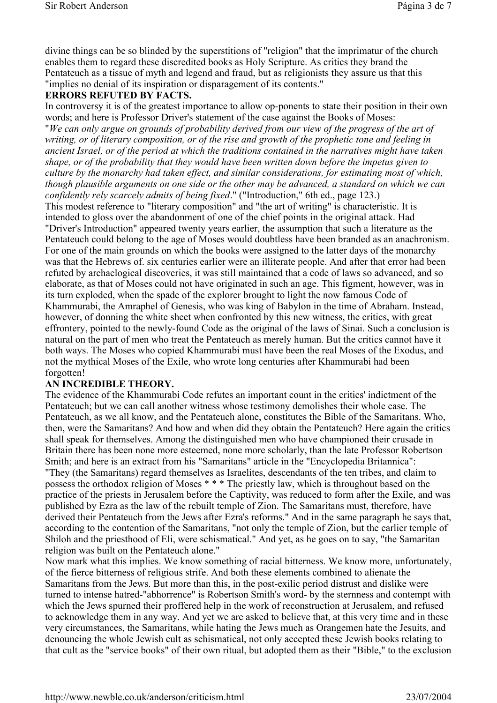divine things can be so blinded by the superstitions of "religion" that the imprimatur of the church enables them to regard these discredited books as Holy Scripture. As critics they brand the Pentateuch as a tissue of myth and legend and fraud, but as religionists they assure us that this "implies no denial of its inspiration or disparagement of its contents."

#### **ERRORS REFUTED BY FACTS.**

In controversy it is of the greatest importance to allow op-ponents to state their position in their own words; and here is Professor Driver's statement of the case against the Books of Moses: "*We can only argue on grounds of probability derived from our view of the progress of the art of writing, or of literary composition, or of the rise and growth of the prophetic tone and feeling in ancient Israel, or of the period at which the traditions contained in the narratives might have taken shape, or of the probability that they would have been written down before the impetus given to culture by the monarchy had taken effect, and similar considerations, for estimating most of which, though plausible arguments on one side or the other may be advanced, a standard on which we can confidently rely scarcely admits of being fixed*." ("Introduction," 6th ed., page 123.) This modest reference to "literary composition" and "the art of writing" is characteristic. It is intended to gloss over the abandonment of one of the chief points in the original attack. Had "Driver's Introduction" appeared twenty years earlier, the assumption that such a literature as the Pentateuch could belong to the age of Moses would doubtless have been branded as an anachronism. For one of the main grounds on which the books were assigned to the latter days of the monarchy was that the Hebrews of. six centuries earlier were an illiterate people. And after that error had been refuted by archaelogical discoveries, it was still maintained that a code of laws so advanced, and so elaborate, as that of Moses could not have originated in such an age. This figment, however, was in its turn exploded, when the spade of the explorer brought to light the now famous Code of Khammurabi, the Amraphel of Genesis, who was king of Babylon in the time of Abraham. Instead, however, of donning the white sheet when confronted by this new witness, the critics, with great effrontery, pointed to the newly-found Code as the original of the laws of Sinai. Such a conclusion is natural on the part of men who treat the Pentateuch as merely human. But the critics cannot have it both ways. The Moses who copied Khammurabi must have been the real Moses of the Exodus, and not the mythical Moses of the Exile, who wrote long centuries after Khammurabi had been forgotten!

#### **AN INCREDIBLE THEORY.**

The evidence of the Khammurabi Code refutes an important count in the critics' indictment of the Pentateuch; but we can call another witness whose testimony demolishes their whole case. The Pentateuch, as we all know, and the Pentateuch alone, constitutes the Bible of the Samaritans. Who, then, were the Samaritans? And how and when did they obtain the Pentateuch? Here again the critics shall speak for themselves. Among the distinguished men who have championed their crusade in Britain there has been none more esteemed, none more scholarly, than the late Professor Robertson Smith; and here is an extract from his "Samaritans" article in the "Encyclopedia Britannica": "They (the Samaritans) regard themselves as Israelites, descendants of the ten tribes, and claim to possess the orthodox religion of Moses \* \* \* The priestly law, which is throughout based on the practice of the priests in Jerusalem before the Captivity, was reduced to form after the Exile, and was published by Ezra as the law of the rebuilt temple of Zion. The Samaritans must, therefore, have derived their Pentateuch from the Jews after Ezra's reforms." And in the same paragraph he says that, according to the contention of the Samaritans, "not only the temple of Zion, but the earlier temple of Shiloh and the priesthood of Eli, were schismatical." And yet, as he goes on to say, "the Samaritan religion was built on the Pentateuch alone."

Now mark what this implies. We know something of racial bitterness. We know more, unfortunately, of the fierce bitterness of religious strife. And both these elements combined to alienate the Samaritans from the Jews. But more than this, in the post-exilic period distrust and dislike were turned to intense hatred-"abhorrence" is Robertson Smith's word- by the sternness and contempt with which the Jews spurned their proffered help in the work of reconstruction at Jerusalem, and refused to acknowledge them in any way. And yet we are asked to believe that, at this very time and in these very circumstances, the Samaritans, while hating the Jews much as Orangemen hate the Jesuits, and denouncing the whole Jewish cult as schismatical, not only accepted these Jewish books relating to that cult as the "service books" of their own ritual, but adopted them as their "Bible," to the exclusion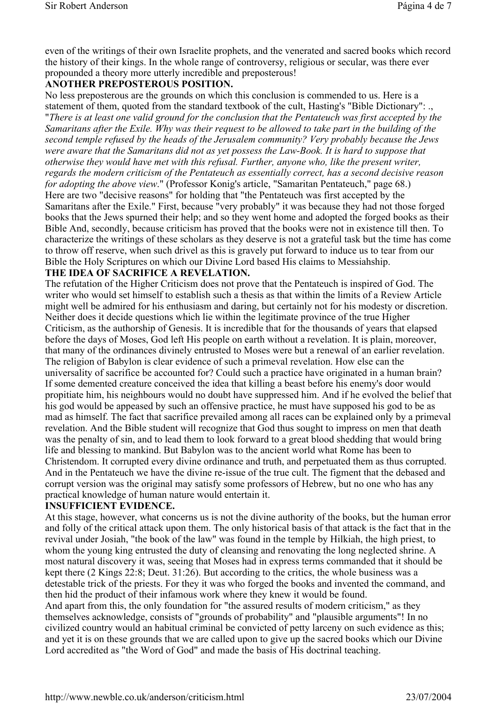even of the writings of their own Israelite prophets, and the venerated and sacred books which record the history of their kings. In the whole range of controversy, religious or secular, was there ever propounded a theory more utterly incredible and preposterous!

## **ANOTHER PREPOSTEROUS POSITION.**

No less preposterous are the grounds on which this conclusion is commended to us. Here is a statement of them, quoted from the standard textbook of the cult, Hasting's "Bible Dictionary": ., "*There is at least one valid ground for the conclusion that the Pentateuch was first accepted by the Samaritans after the Exile. Why was their request to be allowed to take part in the building of the second temple refused by the heads of the Jerusalem community? Very probably because the Jews were aware that the Samaritans did not as yet possess the Law-Book. It is hard to suppose that otherwise they would have met with this refusal. Further, anyone who, like the present writer, regards the modern criticism of the Pentateuch as essentially correct, has a second decisive reason for adopting the above view*." (Professor Konig's article, "Samaritan Pentateuch," page 68.) Here are two "decisive reasons" for holding that "the Pentateuch was first accepted by the Samaritans after the Exile." First, because "very probably" it was because they had not those forged books that the Jews spurned their help; and so they went home and adopted the forged books as their Bible And, secondly, because criticism has proved that the books were not in existence till then. To characterize the writings of these scholars as they deserve is not a grateful task but the time has come to throw off reserve, when such drivel as this is gravely put forward to induce us to tear from our Bible the Holy Scriptures on which our Divine Lord based His claims to Messiahship.

## **THE IDEA OF SACRIFICE A REVELATION.**

The refutation of the Higher Criticism does not prove that the Pentateuch is inspired of God. The writer who would set himself to establish such a thesis as that within the limits of a Review Article might well be admired for his enthusiasm and daring, but certainly not for his modesty or discretion. Neither does it decide questions which lie within the legitimate province of the true Higher Criticism, as the authorship of Genesis. It is incredible that for the thousands of years that elapsed before the days of Moses, God left His people on earth without a revelation. It is plain, moreover, that many of the ordinances divinely entrusted to Moses were but a renewal of an earlier revelation. The religion of Babylon is clear evidence of such a primeval revelation. How else can the universality of sacrifice be accounted for? Could such a practice have originated in a human brain? If some demented creature conceived the idea that killing a beast before his enemy's door would propitiate him, his neighbours would no doubt have suppressed him. And if he evolved the belief that his god would be appeased by such an offensive practice, he must have supposed his god to be as mad as himself. The fact that sacrifice prevailed among all races can be explained only by a primeval revelation. And the Bible student will recognize that God thus sought to impress on men that death was the penalty of sin, and to lead them to look forward to a great blood shedding that would bring life and blessing to mankind. But Babylon was to the ancient world what Rome has been to Christendom. It corrupted every divine ordinance and truth, and perpetuated them as thus corrupted. And in the Pentateuch we have the divine re-issue of the true cult. The figment that the debased and corrupt version was the original may satisfy some professors of Hebrew, but no one who has any practical knowledge of human nature would entertain it.

#### **INSUFFICIENT EVIDENCE.**

At this stage, however, what concerns us is not the divine authority of the books, but the human error and folly of the critical attack upon them. The only historical basis of that attack is the fact that in the revival under Josiah, "the book of the law" was found in the temple by Hilkiah, the high priest, to whom the young king entrusted the duty of cleansing and renovating the long neglected shrine. A most natural discovery it was, seeing that Moses had in express terms commanded that it should be kept there (2 Kings 22:8; Deut. 31:26). But according to the critics, the whole business was a detestable trick of the priests. For they it was who forged the books and invented the command, and then hid the product of their infamous work where they knew it would be found.

And apart from this, the only foundation for "the assured results of modern criticism," as they themselves acknowledge, consists of "grounds of probability" and "plausible arguments"! In no civilized country would an habitual criminal be convicted of petty larceny on such evidence as this; and yet it is on these grounds that we are called upon to give up the sacred books which our Divine Lord accredited as "the Word of God" and made the basis of His doctrinal teaching.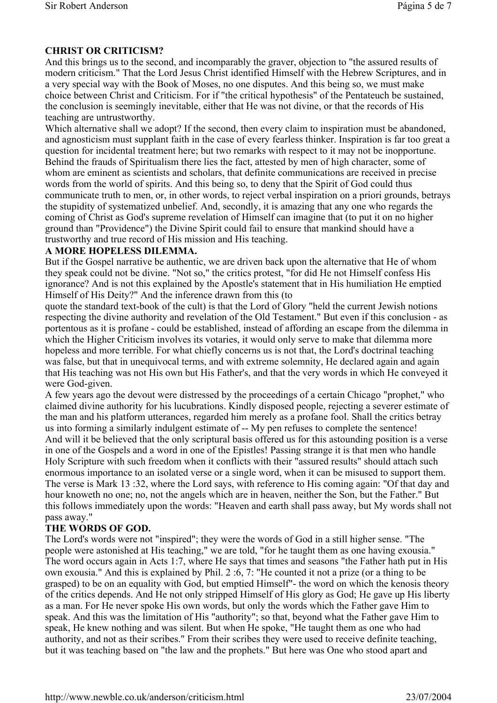## **CHRIST OR CRITICISM?**

And this brings us to the second, and incomparably the graver, objection to "the assured results of modern criticism." That the Lord Jesus Christ identified Himself with the Hebrew Scriptures, and in a very special way with the Book of Moses, no one disputes. And this being so, we must make choice between Christ and Criticism. For if "the critical hypothesis" of the Pentateuch be sustained, the conclusion is seemingly inevitable, either that He was not divine, or that the records of His teaching are untrustworthy.

Which alternative shall we adopt? If the second, then every claim to inspiration must be abandoned, and agnosticism must supplant faith in the case of every fearless thinker. Inspiration is far too great a question for incidental treatment here; but two remarks with respect to it may not be inopportune. Behind the frauds of Spiritualism there lies the fact, attested by men of high character, some of whom are eminent as scientists and scholars, that definite communications are received in precise words from the world of spirits. And this being so, to deny that the Spirit of God could thus communicate truth to men, or, in other words, to reject verbal inspiration on a priori grounds, betrays the stupidity of systematized unbelief. And, secondly, it is amazing that any one who regards the coming of Christ as God's supreme revelation of Himself can imagine that (to put it on no higher ground than "Providence") the Divine Spirit could fail to ensure that mankind should have a trustworthy and true record of His mission and His teaching.

#### **A MORE HOPELESS DILEMMA.**

But if the Gospel narrative be authentic, we are driven back upon the alternative that He of whom they speak could not be divine. "Not so," the critics protest, "for did He not Himself confess His ignorance? And is not this explained by the Apostle's statement that in His humiliation He emptied Himself of His Deity?" And the inference drawn from this (to

quote the standard text-book of the cult) is that the Lord of Glory "held the current Jewish notions respecting the divine authority and revelation of the Old Testament." But even if this conclusion - as portentous as it is profane - could be established, instead of affording an escape from the dilemma in which the Higher Criticism involves its votaries, it would only serve to make that dilemma more hopeless and more terrible. For what chiefly concerns us is not that, the Lord's doctrinal teaching was false, but that in unequivocal terms, and with extreme solemnity, He declared again and again that His teaching was not His own but His Father's, and that the very words in which He conveyed it were God-given.

A few years ago the devout were distressed by the proceedings of a certain Chicago "prophet," who claimed divine authority for his lucubrations. Kindly disposed people, rejecting a severer estimate of the man and his platform utterances, regarded him merely as a profane fool. Shall the critics betray us into forming a similarly indulgent estimate of -- My pen refuses to complete the sentence! And will it be believed that the only scriptural basis offered us for this astounding position is a verse in one of the Gospels and a word in one of the Epistles! Passing strange it is that men who handle Holy Scripture with such freedom when it conflicts with their "assured results" should attach such enormous importance to an isolated verse or a single word, when it can be misused to support them. The verse is Mark 13 :32, where the Lord says, with reference to His coming again: "Of that day and hour knoweth no one; no, not the angels which are in heaven, neither the Son, but the Father." But this follows immediately upon the words: "Heaven and earth shall pass away, but My words shall not pass away."

#### **THE WORDS OF GOD.**

The Lord's words were not "inspired"; they were the words of God in a still higher sense. "The people were astonished at His teaching," we are told, "for he taught them as one having exousia." The word occurs again in Acts 1:7, where He says that times and seasons "the Father hath put in His own exousia." And this is explained by Phil. 2 :6, 7: "He counted it not a prize (or a thing to be grasped) to be on an equality with God, but emptied Himself"- the word on which the kenosis theory of the critics depends. And He not only stripped Himself of His glory as God; He gave up His liberty as a man. For He never spoke His own words, but only the words which the Father gave Him to speak. And this was the limitation of His "authority"; so that, beyond what the Father gave Him to speak, He knew nothing and was silent. But when He spoke, "He taught them as one who had authority, and not as their scribes." From their scribes they were used to receive definite teaching, but it was teaching based on "the law and the prophets." But here was One who stood apart and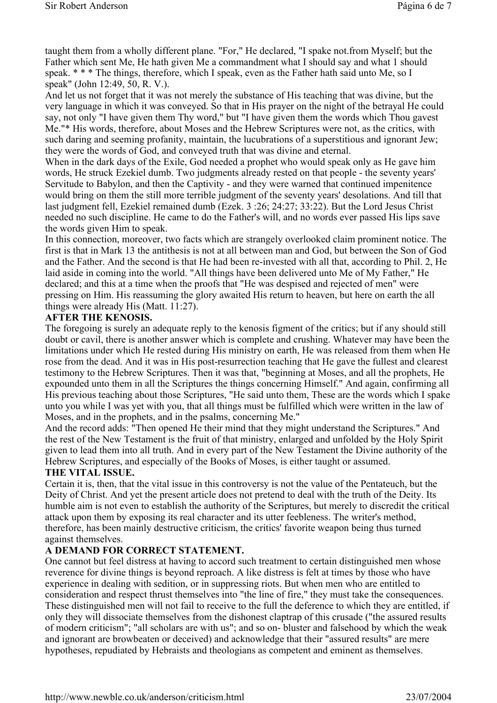taught them from a wholly different plane. "For," He declared, "I spake not.from Myself; but the Father which sent Me, He hath given Me a commandment what I should say and what 1 should speak. \* \* \* The things, therefore, which I speak, even as the Father hath said unto Me, so I speak" (John 12:49, 50, R. V.).

And let us not forget that it was not merely the substance of His teaching that was divine, but the very language in which it was conveyed. So that in His prayer on the night of the betrayal He could say, not only "I have given them Thy word," but "I have given them the words which Thou gavest Me."\* His words, therefore, about Moses and the Hebrew Scriptures were not, as the critics, with such daring and seeming profanity, maintain, the lucubrations of a superstitious and ignorant Jew; they were the words of God, and conveyed truth that was divine and eternal.

When in the dark days of the Exile. God needed a prophet who would speak only as He gave him words, He struck Ezekiel dumb. Two judgments already rested on that people - the seventy years' Servitude to Babylon, and then the Captivity - and they were warned that continued impenitence would bring on them the still more terrible judgment of the seventy years' desolations. And till that last judgment fell, Ezekiel remained dumb (Ezek. 3 :26; 24:27; 33:22). But the Lord Jesus Christ needed no such discipline. He came to do the Father's will, and no words ever passed His lips save the words given Him to speak.

In this connection, moreover, two facts which are strangely overlooked claim prominent notice. The first is that in Mark 13 the antithesis is not at all between man and God, but between the Son of God and the Father. And the second is that He had been re-invested with all that, according to Phil. 2, He laid aside in coming into the world. "All things have been delivered unto Me of My Father," He declared; and this at a time when the proofs that "He was despised and rejected of men" were pressing on Him. His reassuming the glory awaited His return to heaven, but here on earth the all things were already His (Matt. 11:27).

#### **AFTER THE KENOSIS.**

The foregoing is surely an adequate reply to the kenosis figment of the critics; but if any should still doubt or cavil, there is another answer which is complete and crushing. Whatever may have been the limitations under which He rested during His ministry on earth, He was released from them when He rose from the dead. And it was in His post-resurrection teaching that He gave the fullest and clearest testimony to the Hebrew Scriptures. Then it was that, "beginning at Moses, and all the prophets, He expounded unto them in all the Scriptures the things concerning Himself." And again, confirming all His previous teaching about those Scriptures, "He said unto them, These are the words which I spake unto you while I was yet with you, that all things must be fulfilled which were written in the law of Moses, and in the prophets, and in the psalms, concerning Me."

And the record adds: "Then opened He their mind that they might understand the Scriptures." And the rest of the New Testament is the fruit of that ministry, enlarged and unfolded by the Holy Spirit given to lead them into all truth. And in every part of the New Testament the Divine authority of the Hebrew Scriptures, and especially of the Books of Moses, is either taught or assumed.

#### **THE VITAL ISSUE.**

Certain it is, then, that the vital issue in this controversy is not the value of the Pentateuch, but the Deity of Christ. And yet the present article does not pretend to deal with the truth of the Deity. Its humble aim is not even to establish the authority of the Scriptures, but merely to discredit the critical attack upon them by exposing its real character and its utter feebleness. The writer's method, therefore, has been mainly destructive criticism, the critics' favorite weapon being thus turned against themselves.

#### **A DEMAND FOR CORRECT STATEMENT.**

One cannot but feel distress at having to accord such treatment to certain distinguished men whose reverence for divine things is beyond reproach. A like distress is felt at times by those who have experience in dealing with sedition, or in suppressing riots. But when men who are entitled to consideration and respect thrust themselves into "the line of fire," they must take the consequences. These distinguished men will not fail to receive to the full the deference to which they are entitled, if only they will dissociate themselves from the dishonest claptrap of this crusade ("the assured results of modern criticism"; "all scholars are with us"; and so on- bluster and falsehood by which the weak and ignorant are browbeaten or deceived) and acknowledge that their "assured results" are mere hypotheses, repudiated by Hebraists and theologians as competent and eminent as themselves.